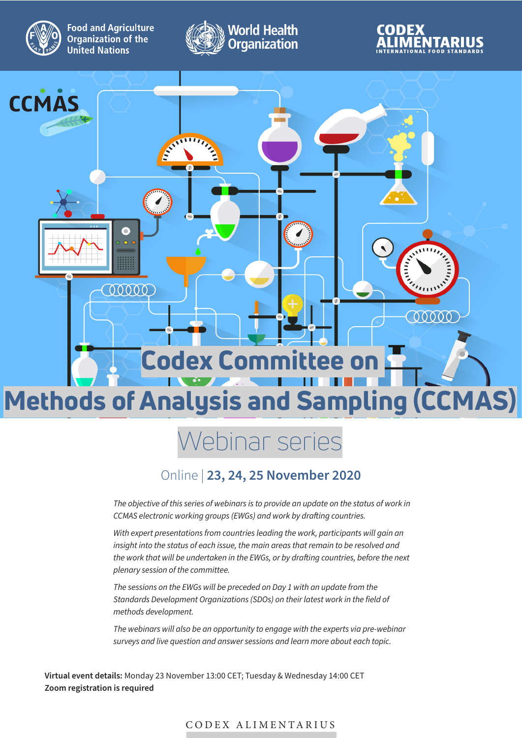

**Food and Agriculture Organization of the United Nations** 







## Webinar series

## Online | **23, 24, 25 November 2020**

*The objective of this series of webinars is to provide an update on the status of work in CCMAS electronic working groups (EWGs) and work by drafting countries.*

With expert presentations from countries leading the work, participants will gain an *insight into the status of each issue, the main areas that remain to be resolved and the work that will be undertaken in the EWGs, or by drafting countries, before the next plenary session of the committee.*

*The sessions on the EWGs will be preceded on Day 1 with an update from the Standards Development Organizations (SDOs) on their latest work in the field of methods development.*

*The webinars will also be an opportunity to engage with the experts via pre-webinar surveys and live question and answer sessions and learn more about each topic.* 

**Virtual event details:** Monday 23 November 13:00 CET; Tuesday & Wednesday 14:00 CET **Zoom registration is required**

CODEX ALIMENTARIUS